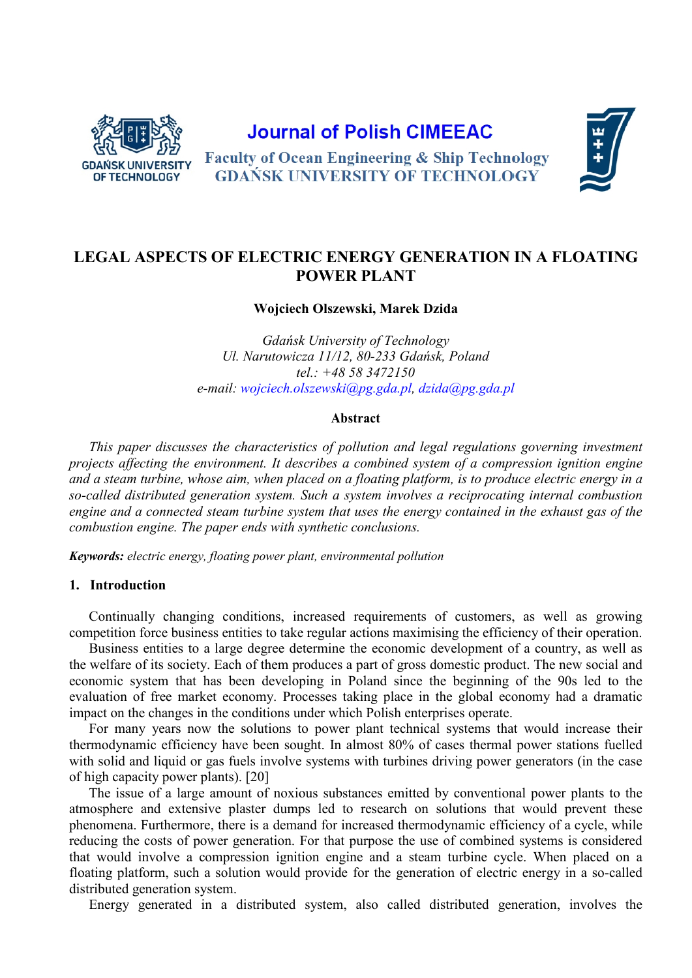

# **Journal of Polish CIMEEAC**

**Faculty of Ocean Engineering & Ship Technology GDANSK UNIVERSITY OF TECHNOLOGY** 



# **LEGAL ASPECTS OF ELECTRIC ENERGY GENERATION IN A FLOATING POWER PLANT**

**Wojciech Olszewski, Marek Dzida**

*Gdańsk University of Technology Ul. Narutowicza 11/12, 80-233 Gdańsk, Poland tel.: +48 58 3472150 e-mail: [wojciech.olszewski@pg.gda.pl](mailto:wojciech.olszewski@pg.gda.pl), [dzida@pg.gda.pl](mailto:dzida@pg.gda.pl)*

#### **Abstract**

*This paper discusses the characteristics of pollution and legal regulations governing investment projects affecting the environment. It describes a combined system of a compression ignition engine and a steam turbine, whose aim, when placed on a floating platform, is to produce electric energy in a so-called distributed generation system. Such a system involves a reciprocating internal combustion engine and a connected steam turbine system that uses the energy contained in the exhaust gas of the combustion engine. The paper ends with synthetic conclusions.*

*Keywords: electric energy, floating power plant, environmental pollution*

#### **1. Introduction**

Continually changing conditions, increased requirements of customers, as well as growing competition force business entities to take regular actions maximising the efficiency of their operation.

Business entities to a large degree determine the economic development of a country, as well as the welfare of its society. Each of them produces a part of gross domestic product. The new social and economic system that has been developing in Poland since the beginning of the 90s led to the evaluation of free market economy. Processes taking place in the global economy had a dramatic impact on the changes in the conditions under which Polish enterprises operate.

For many years now the solutions to power plant technical systems that would increase their thermodynamic efficiency have been sought. In almost 80% of cases thermal power stations fuelled with solid and liquid or gas fuels involve systems with turbines driving power generators (in the case of high capacity power plants). [20]

The issue of a large amount of noxious substances emitted by conventional power plants to the atmosphere and extensive plaster dumps led to research on solutions that would prevent these phenomena. Furthermore, there is a demand for increased thermodynamic efficiency of a cycle, while reducing the costs of power generation. For that purpose the use of combined systems is considered that would involve a compression ignition engine and a steam turbine cycle. When placed on a floating platform, such a solution would provide for the generation of electric energy in a so-called distributed generation system.

Energy generated in a distributed system, also called distributed generation, involves the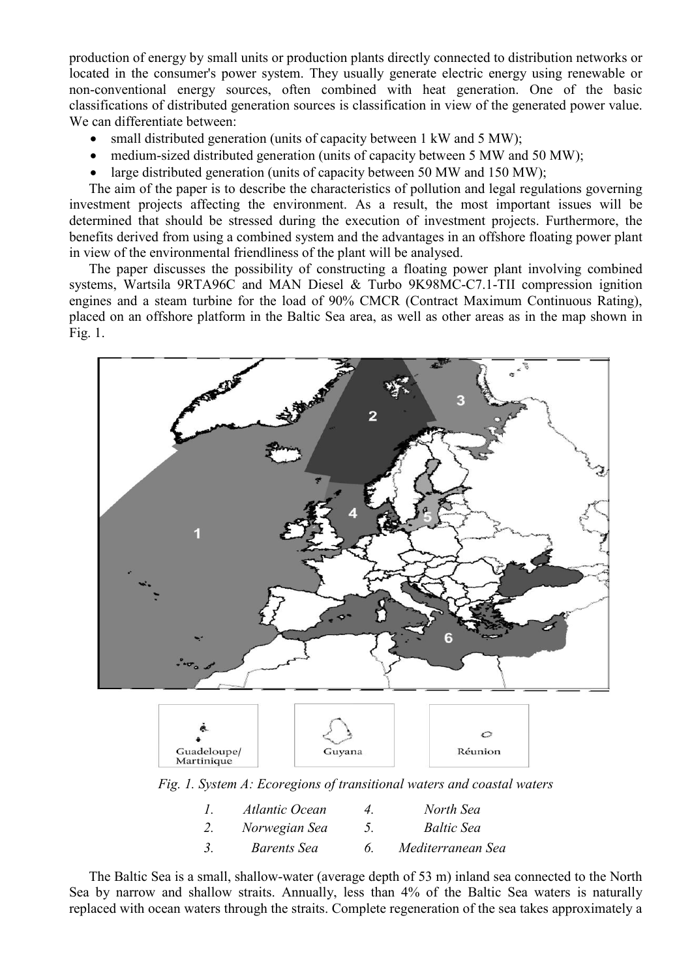production of energy by small units or production plants directly connected to distribution networks or located in the consumer's power system. They usually generate electric energy using renewable or non-conventional energy sources, often combined with heat generation. One of the basic classifications of distributed generation sources is classification in view of the generated power value. We can differentiate between:

- small distributed generation (units of capacity between 1 kW and 5 MW);
- medium-sized distributed generation (units of capacity between 5 MW and 50 MW);
- large distributed generation (units of capacity between 50 MW and 150 MW);

The aim of the paper is to describe the characteristics of pollution and legal regulations governing investment projects affecting the environment. As a result, the most important issues will be determined that should be stressed during the execution of investment projects. Furthermore, the benefits derived from using a combined system and the advantages in an offshore floating power plant in view of the environmental friendliness of the plant will be analysed.

The paper discusses the possibility of constructing a floating power plant involving combined systems, Wartsila 9RTA96C and MAN Diesel & Turbo 9K98MC-C7.1-TII compression ignition engines and a steam turbine for the load of 90% CMCR (Contract Maximum Continuous Rating), placed on an offshore platform in the Baltic Sea area, as well as other areas as in the map shown in Fig. 1.





*Fig. 1. System A: Ecoregions of transitional waters and coastal waters*

| Atlantic Ocean     | $\overline{4}$ | North Sea         |
|--------------------|----------------|-------------------|
| Norwegian Sea      | $\mathcal{L}$  | <b>Baltic Sea</b> |
| <i>Barents Sea</i> |                | Mediterranean Sea |

The Baltic Sea is a small, shallow-water (average depth of 53 m) inland sea connected to the North Sea by narrow and shallow straits. Annually, less than 4% of the Baltic Sea waters is naturally replaced with ocean waters through the straits. Complete regeneration of the sea takes approximately a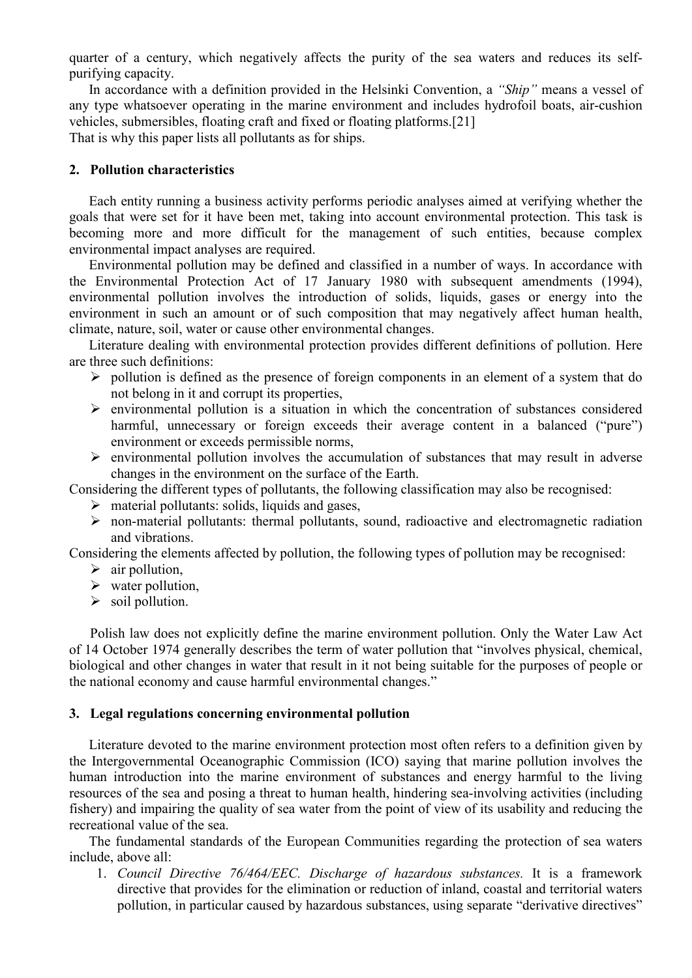quarter of a century, which negatively affects the purity of the sea waters and reduces its selfpurifying capacity.

In accordance with a definition provided in the Helsinki Convention, a *"Ship"* means a vessel of any type whatsoever operating in the marine environment and includes hydrofoil boats, air-cushion vehicles, submersibles, floating craft and fixed or floating platforms.[21] That is why this paper lists all pollutants as for ships.

### **2. Pollution characteristics**

Each entity running a business activity performs periodic analyses aimed at verifying whether the goals that were set for it have been met, taking into account environmental protection. This task is becoming more and more difficult for the management of such entities, because complex environmental impact analyses are required.

Environmental pollution may be defined and classified in a number of ways. In accordance with the Environmental Protection Act of 17 January 1980 with subsequent amendments (1994), environmental pollution involves the introduction of solids, liquids, gases or energy into the environment in such an amount or of such composition that may negatively affect human health, climate, nature, soil, water or cause other environmental changes.

Literature dealing with environmental protection provides different definitions of pollution. Here are three such definitions:

- $\triangleright$  pollution is defined as the presence of foreign components in an element of a system that do not belong in it and corrupt its properties,
- $\triangleright$  environmental pollution is a situation in which the concentration of substances considered harmful, unnecessary or foreign exceeds their average content in a balanced ("pure") environment or exceeds permissible norms,
- $\triangleright$  environmental pollution involves the accumulation of substances that may result in adverse changes in the environment on the surface of the Earth.

Considering the different types of pollutants, the following classification may also be recognised:

- $\triangleright$  material pollutants: solids, liquids and gases,
- non-material pollutants: thermal pollutants, sound, radioactive and electromagnetic radiation and vibrations.

Considering the elements affected by pollution, the following types of pollution may be recognised:

- $\triangleright$  air pollution,
- $\triangleright$  water pollution,
- $\triangleright$  soil pollution.

Polish law does not explicitly define the marine environment pollution. Only the Water Law Act of 14 October 1974 generally describes the term of water pollution that "involves physical, chemical, biological and other changes in water that result in it not being suitable for the purposes of people or the national economy and cause harmful environmental changes."

#### **3. Legal regulations concerning environmental pollution**

Literature devoted to the marine environment protection most often refers to a definition given by the Intergovernmental Oceanographic Commission (ICO) saying that marine pollution involves the human introduction into the marine environment of substances and energy harmful to the living resources of the sea and posing a threat to human health, hindering sea-involving activities (including fishery) and impairing the quality of sea water from the point of view of its usability and reducing the recreational value of the sea.

The fundamental standards of the European Communities regarding the protection of sea waters include, above all:

1. *Council Directive 76/464/EEC. Discharge of hazardous substances.* It is a framework directive that provides for the elimination or reduction of inland, coastal and territorial waters pollution, in particular caused by hazardous substances, using separate "derivative directives"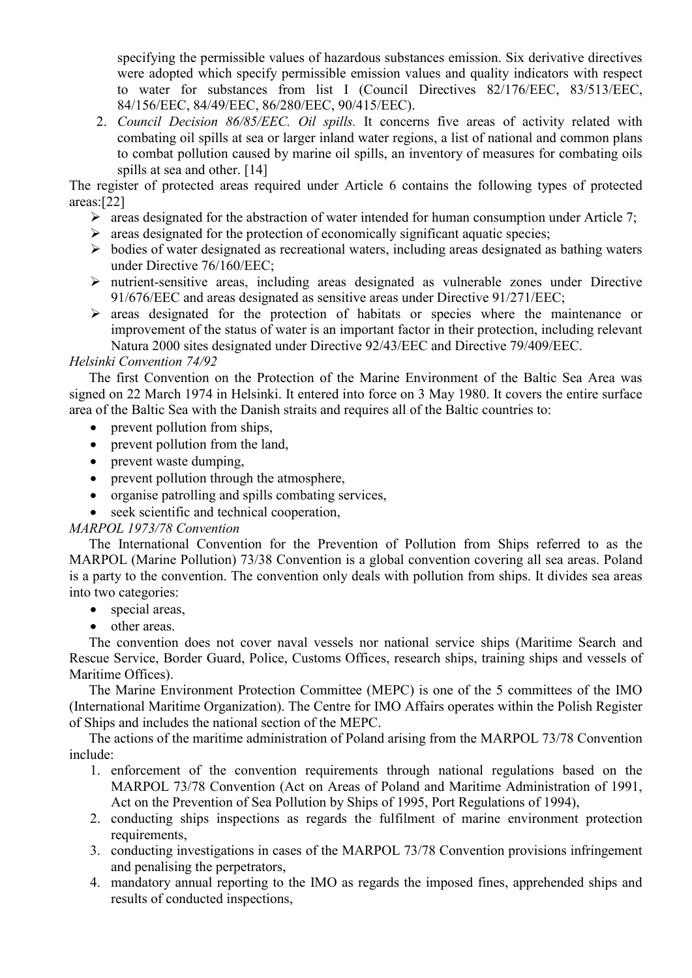specifying the permissible values of hazardous substances emission. Six derivative directives were adopted which specify permissible emission values and quality indicators with respect to water for substances from list I (Council Directives 82/176/EEC, 83/513/EEC, 84/156/EEC, 84/49/EEC, 86/280/EEC, 90/415/EEC).

2. *Council Decision 86/85/EEC. Oil spills.* It concerns five areas of activity related with combating oil spills at sea or larger inland water regions, a list of national and common plans to combat pollution caused by marine oil spills, an inventory of measures for combating oils spills at sea and other. [14]

The register of protected areas required under Article 6 contains the following types of protected areas:[22]

- $\triangleright$  areas designated for the abstraction of water intended for human consumption under Article 7;
- $\triangleright$  areas designated for the protection of economically significant aquatic species;
- $\triangleright$  bodies of water designated as recreational waters, including areas designated as bathing waters under Directive 76/160/EEC;
- nutrient-sensitive areas, including areas designated as vulnerable zones under Directive 91/676/EEC and areas designated as sensitive areas under Directive 91/271/EEC;
- $\triangleright$  areas designated for the protection of habitats or species where the maintenance or improvement of the status of water is an important factor in their protection, including relevant Natura 2000 sites designated under Directive 92/43/EEC and Directive 79/409/EEC.

# *Helsinki Convention 74/92*

The first Convention on the Protection of the Marine Environment of the Baltic Sea Area was signed on 22 March 1974 in Helsinki. It entered into force on 3 May 1980. It covers the entire surface area of the Baltic Sea with the Danish straits and requires all of the Baltic countries to:

- prevent pollution from ships,
- prevent pollution from the land,
- prevent waste dumping,
- prevent pollution through the atmosphere,
- organise patrolling and spills combating services,
- seek scientific and technical cooperation,

#### *MARPOL 1973/78 Convention*

The International Convention for the Prevention of Pollution from Ships referred to as the MARPOL (Marine Pollution) 73/38 Convention is a global convention covering all sea areas. Poland is a party to the convention. The convention only deals with pollution from ships. It divides sea areas into two categories:

- special areas,
- other areas.

The convention does not cover naval vessels nor national service ships (Maritime Search and Rescue Service, Border Guard, Police, Customs Offices, research ships, training ships and vessels of Maritime Offices).

The Marine Environment Protection Committee (MEPC) is one of the 5 committees of the IMO (International Maritime Organization). The Centre for IMO Affairs operates within the Polish Register of Ships and includes the national section of the MEPC.

The actions of the maritime administration of Poland arising from the MARPOL 73/78 Convention include:

- 1. enforcement of the convention requirements through national regulations based on the MARPOL 73/78 Convention (Act on Areas of Poland and Maritime Administration of 1991, Act on the Prevention of Sea Pollution by Ships of 1995, Port Regulations of 1994),
- 2. conducting ships inspections as regards the fulfilment of marine environment protection requirements,
- 3. conducting investigations in cases of the MARPOL 73/78 Convention provisions infringement and penalising the perpetrators,
- 4. mandatory annual reporting to the IMO as regards the imposed fines, apprehended ships and results of conducted inspections,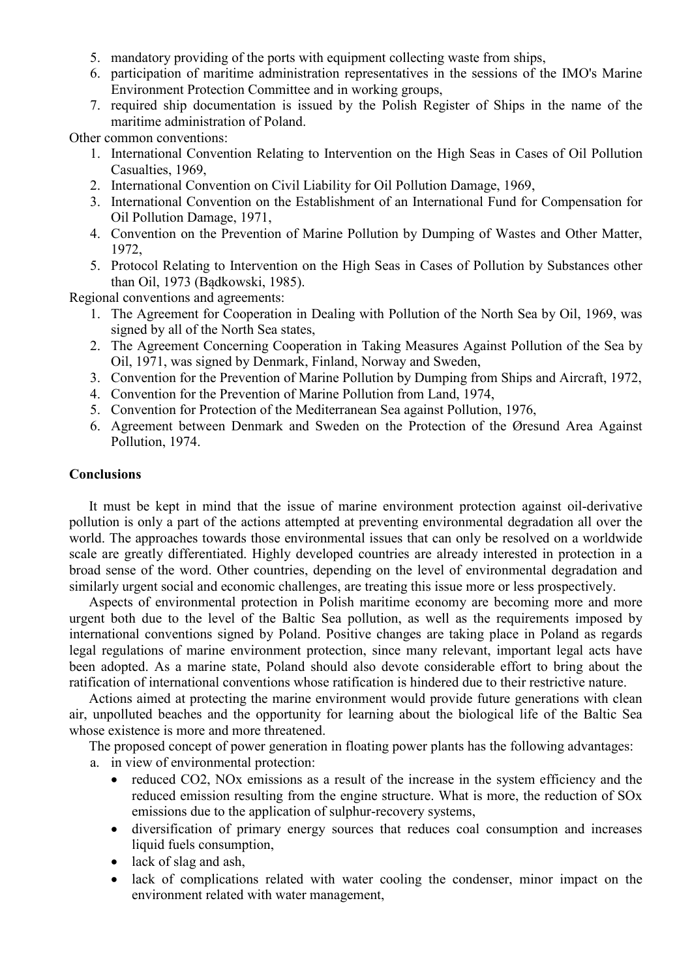- 5. mandatory providing of the ports with equipment collecting waste from ships,
- 6. participation of maritime administration representatives in the sessions of the IMO's Marine Environment Protection Committee and in working groups,
- 7. required ship documentation is issued by the Polish Register of Ships in the name of the maritime administration of Poland.

Other common conventions:

- 1. International Convention Relating to Intervention on the High Seas in Cases of Oil Pollution Casualties, 1969,
- 2. International Convention on Civil Liability for Oil Pollution Damage, 1969,
- 3. International Convention on the Establishment of an International Fund for Compensation for Oil Pollution Damage, 1971,
- 4. Convention on the Prevention of Marine Pollution by Dumping of Wastes and Other Matter, 1972,
- 5. Protocol Relating to Intervention on the High Seas in Cases of Pollution by Substances other than Oil, 1973 (Bądkowski, 1985).

Regional conventions and agreements:

- 1. The Agreement for Cooperation in Dealing with Pollution of the North Sea by Oil, 1969, was signed by all of the North Sea states,
- 2. The Agreement Concerning Cooperation in Taking Measures Against Pollution of the Sea by Oil, 1971, was signed by Denmark, Finland, Norway and Sweden,
- 3. Convention for the Prevention of Marine Pollution by Dumping from Ships and Aircraft, 1972,
- 4. Convention for the Prevention of Marine Pollution from Land, 1974,
- 5. Convention for Protection of the Mediterranean Sea against Pollution, 1976,
- 6. Agreement between Denmark and Sweden on the Protection of the Øresund Area Against Pollution, 1974.

#### **Conclusions**

It must be kept in mind that the issue of marine environment protection against oil-derivative pollution is only a part of the actions attempted at preventing environmental degradation all over the world. The approaches towards those environmental issues that can only be resolved on a worldwide scale are greatly differentiated. Highly developed countries are already interested in protection in a broad sense of the word. Other countries, depending on the level of environmental degradation and similarly urgent social and economic challenges, are treating this issue more or less prospectively.

Aspects of environmental protection in Polish maritime economy are becoming more and more urgent both due to the level of the Baltic Sea pollution, as well as the requirements imposed by international conventions signed by Poland. Positive changes are taking place in Poland as regards legal regulations of marine environment protection, since many relevant, important legal acts have been adopted. As a marine state, Poland should also devote considerable effort to bring about the ratification of international conventions whose ratification is hindered due to their restrictive nature.

Actions aimed at protecting the marine environment would provide future generations with clean air, unpolluted beaches and the opportunity for learning about the biological life of the Baltic Sea whose existence is more and more threatened.

The proposed concept of power generation in floating power plants has the following advantages:

- a. in view of environmental protection:
	- reduced CO2, NOx emissions as a result of the increase in the system efficiency and the reduced emission resulting from the engine structure. What is more, the reduction of SOx emissions due to the application of sulphur-recovery systems,
	- diversification of primary energy sources that reduces coal consumption and increases liquid fuels consumption,
	- lack of slag and ash,
	- lack of complications related with water cooling the condenser, minor impact on the environment related with water management,